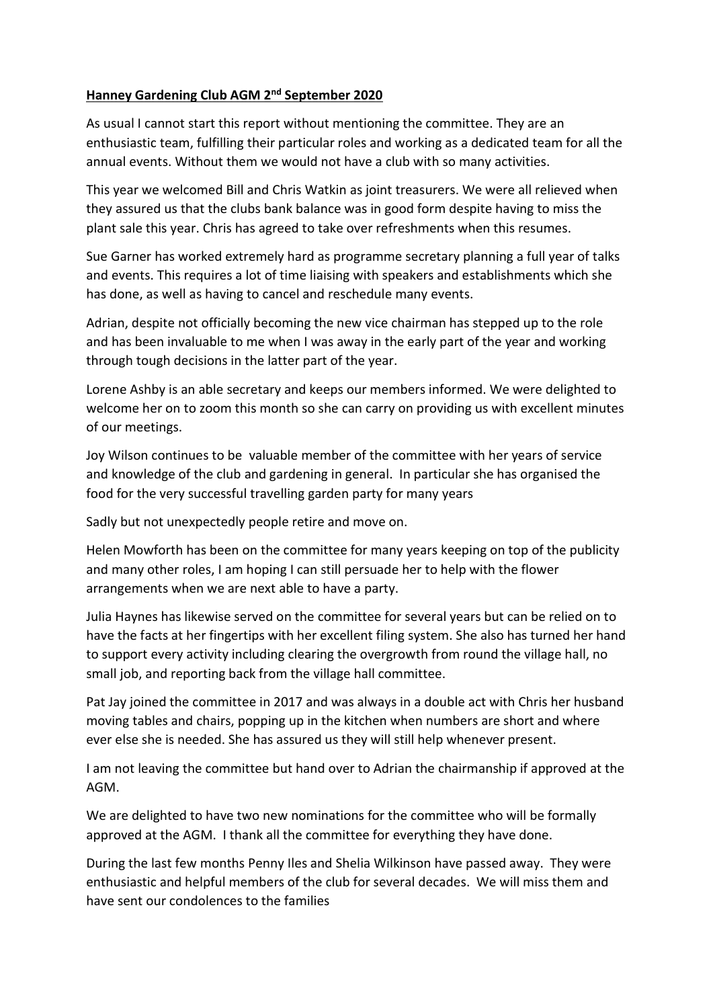## Hanney Gardening Club AGM 2nd September 2020

As usual I cannot start this report without mentioning the committee. They are an enthusiastic team, fulfilling their particular roles and working as a dedicated team for all the annual events. Without them we would not have a club with so many activities.

This year we welcomed Bill and Chris Watkin as joint treasurers. We were all relieved when they assured us that the clubs bank balance was in good form despite having to miss the plant sale this year. Chris has agreed to take over refreshments when this resumes.

Sue Garner has worked extremely hard as programme secretary planning a full year of talks and events. This requires a lot of time liaising with speakers and establishments which she has done, as well as having to cancel and reschedule many events.

Adrian, despite not officially becoming the new vice chairman has stepped up to the role and has been invaluable to me when I was away in the early part of the year and working through tough decisions in the latter part of the year.

Lorene Ashby is an able secretary and keeps our members informed. We were delighted to welcome her on to zoom this month so she can carry on providing us with excellent minutes of our meetings.

Joy Wilson continues to be valuable member of the committee with her years of service and knowledge of the club and gardening in general. In particular she has organised the food for the very successful travelling garden party for many years

Sadly but not unexpectedly people retire and move on.

Helen Mowforth has been on the committee for many years keeping on top of the publicity and many other roles, I am hoping I can still persuade her to help with the flower arrangements when we are next able to have a party.

Julia Haynes has likewise served on the committee for several years but can be relied on to have the facts at her fingertips with her excellent filing system. She also has turned her hand to support every activity including clearing the overgrowth from round the village hall, no small job, and reporting back from the village hall committee.

Pat Jay joined the committee in 2017 and was always in a double act with Chris her husband moving tables and chairs, popping up in the kitchen when numbers are short and where ever else she is needed. She has assured us they will still help whenever present.

I am not leaving the committee but hand over to Adrian the chairmanship if approved at the AGM.

We are delighted to have two new nominations for the committee who will be formally approved at the AGM. I thank all the committee for everything they have done.

During the last few months Penny Iles and Shelia Wilkinson have passed away. They were enthusiastic and helpful members of the club for several decades. We will miss them and have sent our condolences to the families